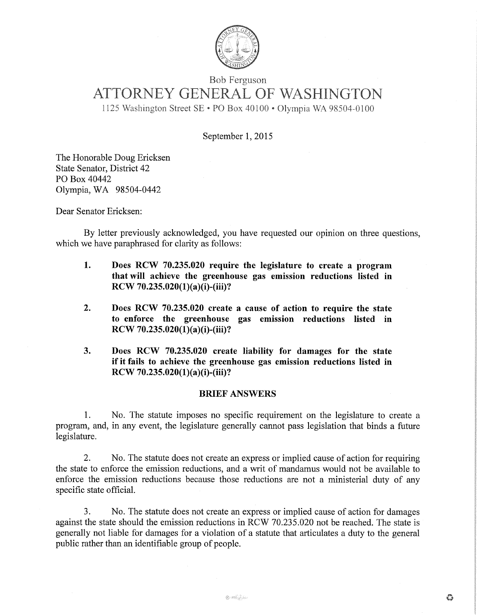

# Bob Ferguson ATTORNEY GENERAL OF WASHINGTON

1125 Washington Street SE • PO Box 40100 • Olympia WA 98504-0100

September 1, 2015

The Honorable Doug Ericksen State Senator, District 42 P0 Box 40442 Olympia, WA 98504-0442

Dear Senator Ericksen:

By letter previously acknowledged, you have requested our opinion on three questions, which we have paraphrased for clarity as follows:

- **1. Does RCW 70.235.020 require the legislature to create a program that will achieve the greenhouse gas emission reductions listed in RCW 70.235.020(1)(a)(i)-(iii)?**
- **2. Does RCW 70.235.020 create a cause of action to require the state to enforce the greenhouse gas emission reductions listed in RCW 70.235.020(1)(a)(i)-(iii)?**
- **3. Does RCW 70.235.020 create liability for damages for the state if it fails to achieve the greenhouse gas emission reductions listed in RCW 70.235.020(1)(a)(i)-(iii)?**

#### **BRIEF ANSWERS**

1. No. The statute imposes no specific requirement on the legislature to create a program, and, in any event, the legislature generally cannot pass legislation that binds a future legislature.

2. No. The statute does not create an express or implied cause of action for requiring the state to enforce the emission reductions, and a writ of mandamus would not be available to enforce the emission reductions because those reductions are not a ministerial duty of any specific state official.

3. No. The statute does not create an express or implied cause of action for damages against the state should the emission reductions in RCW 70.235.020 not be reached. The state is generally not liable for damages for a violation of a statute that articulates a duty to the general public rather than an identifiable group of people.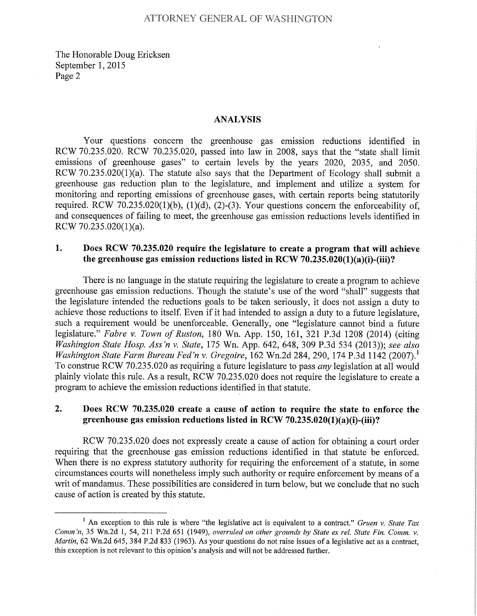The Honorable Doug Ericksen September 1, 2015 Page 2

#### **ANALYSIS**

Your questions concern the greenhouse gas emission reductions identified in RCW 70.235.020. RCW 70.235.020, passed into law in 2008, says that the "state shall limit emissions of greenhouse gases" to certain levels by the years 2020, 2035, and 2050. RCW 70.235.020(1)(a). The statute also says that the Department of Ecology shall submit a greenhouse gas reduction plan to the legislature, and implement and utilize a system for monitoring and reporting emissions of greenhouse gases, with certain reports being statutorily required. RCW 70.235.020(1)(b), (1)(d), (2)-(3). Your questions concern the enforceability of, and consequences of failing to meet, the greenhouse gas emission reductions levels identified in RCW 70.235.020(1)(a).

## **1. Does RCW 70.235.020 require the legislature to create a program that will achieve the greenhouse gas emission reductions listed in RCW 70.235.020(1)(a)(i)-(iii)?**

There is no language in the statute requiring the legislature to create a program to achieve greenhouse gas emission reductions. Though the statute's use of the word "shall" suggests that the legislature intended the reductions goals to be taken seriously, it does not assign a duty to achieve those reductions to itself. Even if it had intended to assign a duty to a future legislature, such a requirement would be unenforceable. Generally, one "legislature cannot bind a future legislature." *Fabre v. Town of Ruston,* 180 Wn. App. 150, 161, 321 P.3d 1208 (2014) (citing *Washington State Hosp. Ass'n v. State,* 175 Wn. App. 642, 648, 309 P.3d 534 (2013)); *see also Washington State Farm Bureau Fed'n v. Gregoire,* 162 Wn.2d 284, 290, 174 P.3d 1142 (2007).<sup>1</sup> To construe RCW 70.23 5.020 as requiring a future legislature to pass *any* legislation at all would plainly violate this rule. As a result, RCW 70.235.020 does not require the legislature to create a program to achieve the emission reductions identified in that statute.

## **2. Does RCW 70.235.020 create a cause of action to require the state to enforce the greenhouse gas emission reductions listed in RCW 70.235.020(1)(a)(i)-(iii)?**

RCW 70.235.020 does not expressly create a cause of action for obtaining a court order requiring that the greenhouse gas emission reductions identified in that statute be enforced. When there is no express statutory authority for requiring the enforcement of a statute, in some circumstances courts will nonetheless imply such authority or require enforcement by means of a writ of mandamus. These possibilities are considered in turn below, but we conclude that no such cause of action is created by this statute.

<sup>&</sup>lt;sup>1</sup> An exception to this rule is where "the legislative act is equivalent to a contract." *Gruen v. State Tax Comm 'n, 35* Wn.2d 1, *54,* 211 P.2d *651* (1949), *overruled on other grounds by State ex rel. State Fin. Comm. v.*  Martin, 62 Wn.2d *645,* 384 P.2d 833 (1963). As your questions do not raise issues of a legislative act as a contract, this exception is not relevant to this opinion's analysis and will not be addressed further.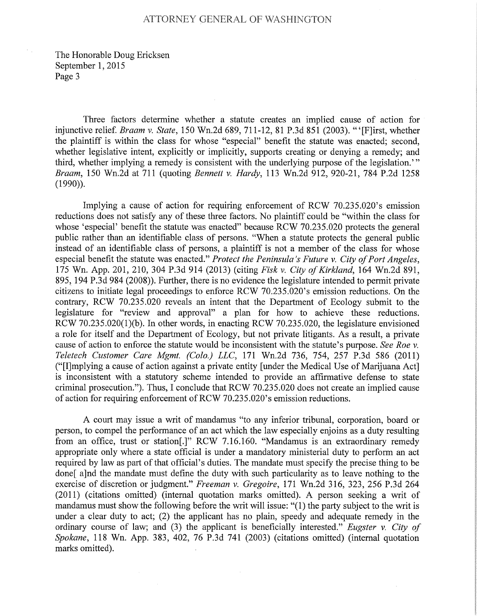#### ATTORNEY GENERAL OF WASHINGTON

The Honorable Doug Ericksen September 1, 2015 Page 3

Three factors determine whether a statute creates an implied cause of action for injunctive relief. *Braam v. State,* 150 Wn.2d 689, 711-12, 81 P.3d 851 (2003). "'[F]irst, whether the plaintiff is within the class for whose "especial" benefit the statute was enacted; second, whether legislative intent, explicitly or implicitly, supports creating or denying a remedy; and third, whether implying a remedy is consistent with the underlying purpose of the legislation." Braam, 150 Wn.2d at 711 (quoting Bennett v. Hardy, 113 Wn.2d 912, 920-21, 784 P.2d 1258 (1990)).

Implying a cause of action for requiring enforcement of RCW 70.235.020's emission reductions does not satisfy any of these three factors. No plaintiff could be "within the class for whose 'especial' benefit the statute was enacted" because RCW 70.235.020 protects the general public rather than an identifiable class of persons. "When a statute protects the general public instead of an identifiable class of persons, a plaintiff is not a member of the class for whose especial benefit the statute was enacted." Protect the Peninsula's Future v. City of Port Angeles, 175 Wn. App. 201, 210, 304 P.3d 914 (2013) (citing *Fisk v. City* of Kirkland, 164 Wn.2d 891, 895, 194 P.3d 984 (2008)). Further, there is no evidence the legislature intended to permit private citizens to initiate legal proceedings to enforce RCW 70.235.020's emission reductions. On the contrary, RCW 70.235.020 reveals an intent that the Department of Ecology submit to the legislature for "review and approval" a plan for how to achieve these reductions. RCW 70.235.020(1)(b). In other words, in enacting RCW 70.235.020, the legislature envisioned a role for itself and the Department of Ecology, but not private litigants. As a result, a private cause of action to enforce the statute would be inconsistent with the statute's purpose. *See Roe v.*  Teletech Customer Care Mgmt. (Colo.) LLC, 171 Wn.2d 736, 754, 257 P.3d 586 (2011) ("[I]mplying a cause of action against a private entity [under the Medical Use of Marijuana Act] is inconsistent with a statutory scheme intended to provide an affirmative defense to state criminal prosecution."). Thus, I conclude that RCW 70.23 5.020 does not create an implied cause of action for requiring enforcement of RCW 70.235.020's emission reductions.

A court may issue a writ of mandamus "to any inferior tribunal, corporation, board or person, to compel the performance of an act which the law especially enjoins as a duty resulting from an office, trust or station[.]" RCW 7.16.160. "Mandamus is an extraordinary remedy appropriate only where a state official is under a mandatory ministerial duty to perform an act required by law as part of that official's duties. The mandate must specify the precise thing to be done[ a]nd the mandate must define the duty with such particularity as to leave nothing to the exercise of discretion or judgment." *Freeman v. Gregoire,* 171 Wn.2d 316, 323, 256 P.3d 264 (2011) (citations omitted) (internal quotation marks omitted). A person seeking a writ of mandamus must show the following before the writ will issue: "(1) the party subject to the writ is under a clear duty to act; (2) the applicant has no plain, speedy and adequate remedy in the ordinary course of law; and (3) the applicant is beneficially interested." *Eugster v. City of*  Spokane, 118 Wn. App. 383, 402, 76 P.3d 741 (2003) (citations omitted) (internal quotation marks omitted).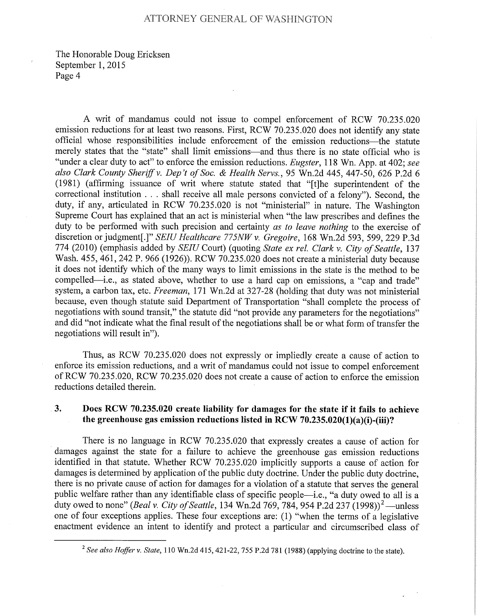The Honorable Doug Ericksen September 1, 2015 Page 4

A writ of mandamus could not issue to compel enforcement of RCW 70.235.020 emission reductions for at least two reasons. First, RCW 70.235.020 does not identify any state official whose responsibilities include enforcement of the emission reductions—the statute merely states that the "state" shall limit emissions—and thus there is no state official who is "under a clear duty to act" to enforce the emission reductions. *Eugster,* 118 Wn. App. at 402; *see also Clark County Sher*i*ff v. Dep 't of Soc. & Health Servs.,* 95 Wn.2d 445, *447-50,* 626 P.2d 6 (1981) (affirming issuance of writ where statute stated that " $[t]$ he superintendent of the correctional institution . . . shall receive all male persons convicted of a felony"). Second, the duty, if any, articulated in RCW 70.235.020 is not "ministerial" in nature. The Washington Supreme Court has explained that an act is ministerial when "the law prescribes and defines the duty to be performed with such precision and certainty *as to leave nothing* to the exercise of discretion or judgment[.]" *SEIU Healthcare 775NW v. Gregoire*, 168 Wn.2d 593, 599, 229 P.3d 774 (2010) (emphasis added by *SEIU* Court) (quoting *State ex rel. Clark v. City of Seattle,* 137 Wash. 455, 461, 242 P. 966 (1926)). RCW 70.235.020 does not create a ministerial duty because it does not identify which of the many ways to limit emissions in the state is the method to be compelled—i.e., as stated above, whether to use a hard cap on emissions, a "cap and trade" system, a carbon tax, etc. *Freeman,* 171 Wn.2d at 327-28 (holding that duty was not ministerial because, even though statute said Department of Transportation "shall complete the process of negotiations with sound transit," the statute did "not provide any parameters for the negotiations" and did "not indicate what the final result of the negotiations shall be or what form of transfer the negotiations will result in").

Thus, as RCW 70.235.020 does not expressly or impliedly create a cause of action to enforce its emission reductions, and a writ of mandamus could not issue to compel enforcement of RCW 70.235.020, RCW 70.235.020 does not create a cause of action to enforce the emission reductions detailed therein.

## **3. Does RCW 70.235.020 create liability for damages for the state if it fails to achieve the greenhouse gas emission reductions listed in RCW 70.235.020(1)(a)(i)-(iii)?**

There is no language in RCW 70.235.020 that expressly creates a cause of action for damages against the state for a failure to achieve the greenhouse gas emission reductions identified in that statute. Whether RCW 70.235.020 implicitly supports a cause of action for damages is determined by application of the public duty doctrine. Under the public duty doctrine, there is no private cause of action for damages for a violation of a statute that serves the general public welfare rather than any identifiable class of specific people—i.e., "a duty owed to all is a duty owed to none" *(Beal v. City of Seattle, 134 Wn.2d 769, 784, 954 P.2d 237 (1998)*<sup>2</sup>—unless one of four exceptions applies. These four exceptions are: (1) "when the terms of a legislative enactment evidence an intent to identify and protect a particular and circumscribed class of

<sup>2</sup>*See also Hoffer v. State,* 110 Wn.2d *415,* 421-22, *755* P.2d 781 (1988) (applying doctrine to the state).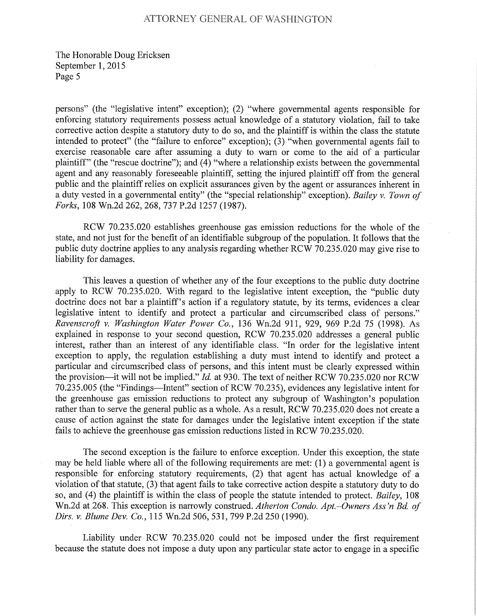### ATTORNEY GENERAL OF WASHINGTON

The Honorable Doug Ericksen September 1, 2015 Page *5* 

persons" (the "legislative intent" exception); (2) "where governmental agents responsible for enforcing statutory requirements possess actual knowledge of a statutory violation, fail to take corrective action despite a statutory duty to do so, and the plaintiff is within the class the statute intended to protect" (the "failure to enforce" exception); (3) "when governmental agents fail to exercise reasonable care after assuming a duty to warn or come to the aid of a particular plaintiff" (the "rescue doctrine"); and (4) "where a relationship exists between the governmental agent and any reasonably foreseeable plaintiff, setting the injured plaintiff off from the general public and the plaintiff relies on explicit assurances given by the agent or assurances inherent in a duty vested in a governmental entity" (the "special relationship" exception). *Bailey v. Town of*  Forks, 108 Wn.2d 262, 268, 737 P.2d 1257 (1987).

RCW 70.235.020 establishes greenhouse gas emission reductions for the whole of the state, and not just for the benefit of an identifiable subgroup of the population. It follows that the public duty doctrine applies to any analysis regarding whether RCW 70.235.020 may give rise to liability for damages.

This leaves a question of whether any of the four exceptions to the public duty doctrine apply to RCW 70.235.020. With regard to the legislative intent exception, the "public duty doctrine does not bar a plaintiff's action if a regulatory statute, by its terms, evidences a clear legislative intent to identify and protect a particular and circumscribed class of persons." *Ravenscroft v. Washington Water Power Co.,* 136 Wn.2d 911, 929, 969 P.2d 75 (1998). As explained in response to your second question, RCW 70.235.020 addresses a general public interest, rather than an interest of any identifiable class. "In order for the legislative intent exception to apply, the regulation establishing a duty must intend to identify and protect a particular and circumscribed class of persons, and this intent must be clearly expressed within the provision—it will not be implied." *Id.* at 930. The text of neither RCW 70.235.020 nor RCW 70.235.005 (the "Findings—Intent" section of RCW 70.235), evidences any legislative intent for the greenhouse gas emission reductions to protect any subgroup of Washington's population rather than to serve the general public as a whole. As a result, RCW 70.235.020 does not create a cause of action against the state for damages under the legislative intent exception if the state fails to achieve the greenhouse gas emission reductions listed in RCW 70.235.020.

The second exception is the failure to enforce exception. Under this exception, the state may be held liable where all of the following requirements are met: (1) a governmental agent is responsible for enforcing statutory requirements, (2) that agent has actual knowledge of a violation of that statute, (3) that agent fails to take corrective action despite a statutory duty to do so, and (4) the plaintiff is within the class of people the statute intended to protect. *Bailey,* 108 Wn.2d at 268. This exception is narrowly construed. Atherton Condo. Apt.–Owners Ass'n Bd. of Dirs. v. Blume Dev. Co., 115 Wn.2d 506, 531, 799 P.2d 250 (1990).

Liability under RCW 70.235.020 could not be imposed under the first requirement because the statute does not impose a duty upon any particular state actor to engage in a specific